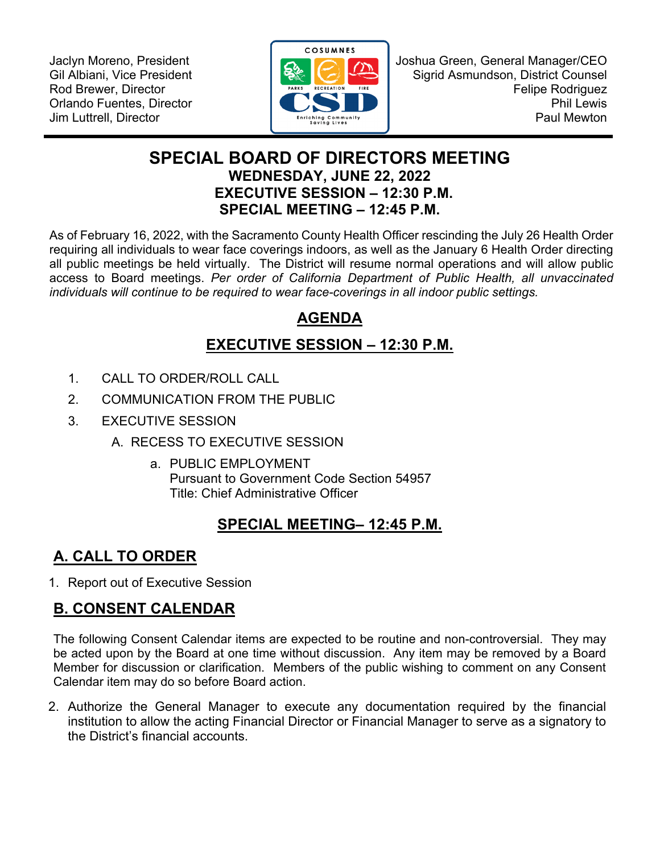Jaclyn Moreno, President Gil Albiani, Vice President Rod Brewer, Director Orlando Fuentes, Director Jim Luttrell, Director



Joshua Green, General Manager/CEO Sigrid Asmundson, District Counsel Felipe Rodriguez Phil Lewis Paul Mewton

### **SPECIAL BOARD OF DIRECTORS MEETING WEDNESDAY, JUNE 22, 2022 EXECUTIVE SESSION – 12:30 P.M. SPECIAL MEETING – 12:45 P.M.**

As of February 16, 2022, with the Sacramento County Health Officer rescinding the July 26 Health Order requiring all individuals to wear face coverings indoors, as well as the January 6 Health Order directing all public meetings be held virtually. The District will resume normal operations and will allow public access to Board meetings. *Per order of California Department of Public Health, all unvaccinated individuals will continue to be required to wear face-coverings in all indoor public settings.* 

## **AGENDA**

# **EXECUTIVE SESSION – 12:30 P.M.**

- 1. CALL TO ORDER/ROLL CALL
- 2. COMMUNICATION FROM THE PUBLIC
- 3. EXECUTIVE SESSION
	- A. RECESS TO EXECUTIVE SESSION
		- a. PUBLIC EMPLOYMENT Pursuant to Government Code Section 54957 Title: Chief Administrative Officer

## **SPECIAL MEETING– 12:45 P.M.**

# **A. CALL TO ORDER**

1. Report out of Executive Session

# **B. CONSENT CALENDAR**

The following Consent Calendar items are expected to be routine and non-controversial. They may be acted upon by the Board at one time without discussion. Any item may be removed by a Board Member for discussion or clarification. Members of the public wishing to comment on any Consent Calendar item may do so before Board action.

2. Authorize the General Manager to execute any documentation required by the financial institution to allow the acting Financial Director or Financial Manager to serve as a signatory to the District's financial accounts.